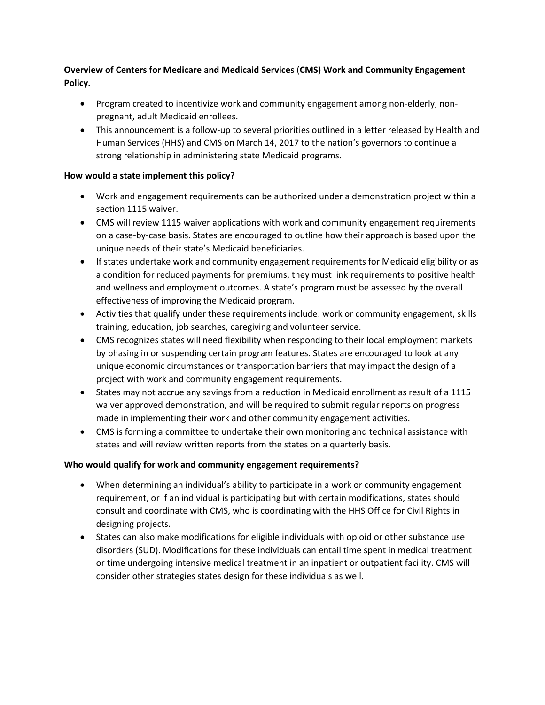# **Overview of Centers for Medicare and Medicaid Services** (**CMS) Work and Community Engagement Policy.**

- Program created to incentivize work and community engagement among non-elderly, nonpregnant, adult Medicaid enrollees.
- This announcement is a follow-up to several priorities outlined in a letter released by Health and Human Services (HHS) and CMS on March 14, 2017 to the nation's governors to continue a strong relationship in administering state Medicaid programs.

#### **How would a state implement this policy?**

- Work and engagement requirements can be authorized under a demonstration project within a section 1115 waiver.
- CMS will review 1115 waiver applications with work and community engagement requirements on a case-by-case basis. States are encouraged to outline how their approach is based upon the unique needs of their state's Medicaid beneficiaries.
- If states undertake work and community engagement requirements for Medicaid eligibility or as a condition for reduced payments for premiums, they must link requirements to positive health and wellness and employment outcomes. A state's program must be assessed by the overall effectiveness of improving the Medicaid program.
- Activities that qualify under these requirements include: work or community engagement, skills training, education, job searches, caregiving and volunteer service.
- CMS recognizes states will need flexibility when responding to their local employment markets by phasing in or suspending certain program features. States are encouraged to look at any unique economic circumstances or transportation barriers that may impact the design of a project with work and community engagement requirements.
- States may not accrue any savings from a reduction in Medicaid enrollment as result of a 1115 waiver approved demonstration, and will be required to submit regular reports on progress made in implementing their work and other community engagement activities.
- CMS is forming a committee to undertake their own monitoring and technical assistance with states and will review written reports from the states on a quarterly basis.

## **Who would qualify for work and community engagement requirements?**

- When determining an individual's ability to participate in a work or community engagement requirement, or if an individual is participating but with certain modifications, states should consult and coordinate with CMS, who is coordinating with the HHS Office for Civil Rights in designing projects.
- States can also make modifications for eligible individuals with opioid or other substance use disorders (SUD). Modifications for these individuals can entail time spent in medical treatment or time undergoing intensive medical treatment in an inpatient or outpatient facility. CMS will consider other strategies states design for these individuals as well.